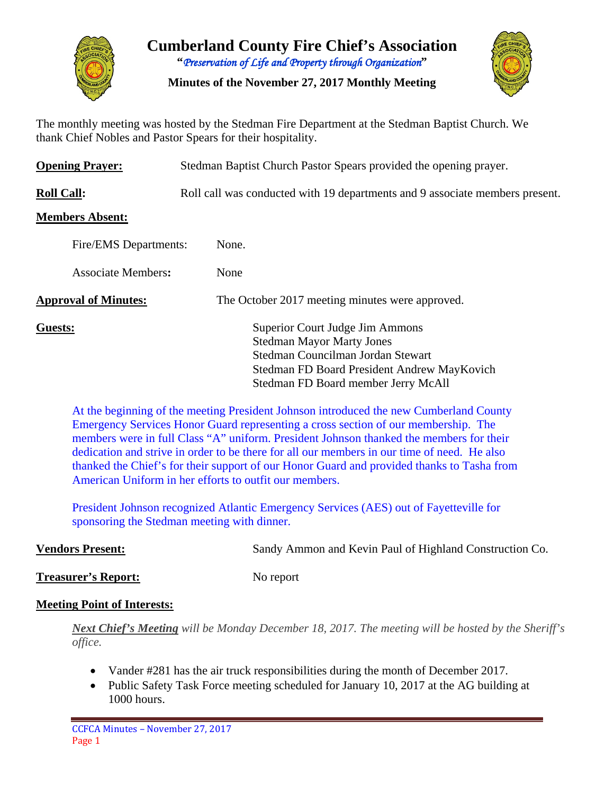

# **Cumberland County Fire Chief's Association "***Preservation of Life and Property through Organization***"**

**Minutes of the November 27, 2017 Monthly Meeting**



The monthly meeting was hosted by the Stedman Fire Department at the Stedman Baptist Church. We thank Chief Nobles and Pastor Spears for their hospitality.

| <b>Opening Prayer:</b>      | Stedman Baptist Church Pastor Spears provided the opening prayer.                                                                                                                              |  |  |  |  |  |  |
|-----------------------------|------------------------------------------------------------------------------------------------------------------------------------------------------------------------------------------------|--|--|--|--|--|--|
| <b>Roll Call:</b>           | Roll call was conducted with 19 departments and 9 associate members present.                                                                                                                   |  |  |  |  |  |  |
| <b>Members Absent:</b>      |                                                                                                                                                                                                |  |  |  |  |  |  |
| Fire/EMS Departments:       | None.                                                                                                                                                                                          |  |  |  |  |  |  |
| <b>Associate Members:</b>   | None                                                                                                                                                                                           |  |  |  |  |  |  |
| <b>Approval of Minutes:</b> | The October 2017 meeting minutes were approved.                                                                                                                                                |  |  |  |  |  |  |
| Guests:                     | Superior Court Judge Jim Ammons<br><b>Stedman Mayor Marty Jones</b><br>Stedman Councilman Jordan Stewart<br>Stedman FD Board President Andrew MayKovich<br>Stedman FD Board member Jerry McAll |  |  |  |  |  |  |

At the beginning of the meeting President Johnson introduced the new Cumberland County Emergency Services Honor Guard representing a cross section of our membership. The members were in full Class "A" uniform. President Johnson thanked the members for their dedication and strive in order to be there for all our members in our time of need. He also thanked the Chief's for their support of our Honor Guard and provided thanks to Tasha from American Uniform in her efforts to outfit our members.

President Johnson recognized Atlantic Emergency Services (AES) out of Fayetteville for sponsoring the Stedman meeting with dinner.

**Vendors Present:** Sandy Ammon and Kevin Paul of Highland Construction Co.

**Treasurer's Report:** No report

**Meeting Point of Interests:** 

*Next Chief's Meeting will be Monday December 18, 2017. The meeting will be hosted by the Sheriff's office.*

- Vander #281 has the air truck responsibilities during the month of December 2017.
- Public Safety Task Force meeting scheduled for January 10, 2017 at the AG building at 1000 hours.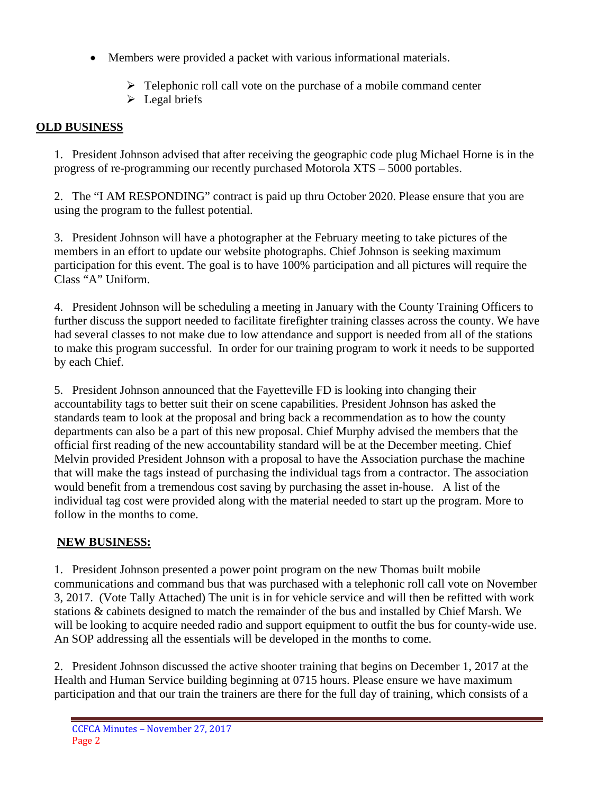- Members were provided a packet with various informational materials.
	- $\triangleright$  Telephonic roll call vote on the purchase of a mobile command center
	- $\triangleright$  Legal briefs

## **OLD BUSINESS**

1. President Johnson advised that after receiving the geographic code plug Michael Horne is in the progress of re-programming our recently purchased Motorola XTS – 5000 portables.

2. The "I AM RESPONDING" contract is paid up thru October 2020. Please ensure that you are using the program to the fullest potential.

3. President Johnson will have a photographer at the February meeting to take pictures of the members in an effort to update our website photographs. Chief Johnson is seeking maximum participation for this event. The goal is to have 100% participation and all pictures will require the Class "A" Uniform.

4. President Johnson will be scheduling a meeting in January with the County Training Officers to further discuss the support needed to facilitate firefighter training classes across the county. We have had several classes to not make due to low attendance and support is needed from all of the stations to make this program successful. In order for our training program to work it needs to be supported by each Chief.

5. President Johnson announced that the Fayetteville FD is looking into changing their accountability tags to better suit their on scene capabilities. President Johnson has asked the standards team to look at the proposal and bring back a recommendation as to how the county departments can also be a part of this new proposal. Chief Murphy advised the members that the official first reading of the new accountability standard will be at the December meeting. Chief Melvin provided President Johnson with a proposal to have the Association purchase the machine that will make the tags instead of purchasing the individual tags from a contractor. The association would benefit from a tremendous cost saving by purchasing the asset in-house. A list of the individual tag cost were provided along with the material needed to start up the program. More to follow in the months to come.

## **NEW BUSINESS:**

1. President Johnson presented a power point program on the new Thomas built mobile communications and command bus that was purchased with a telephonic roll call vote on November 3, 2017. (Vote Tally Attached) The unit is in for vehicle service and will then be refitted with work stations & cabinets designed to match the remainder of the bus and installed by Chief Marsh. We will be looking to acquire needed radio and support equipment to outfit the bus for county-wide use. An SOP addressing all the essentials will be developed in the months to come.

2. President Johnson discussed the active shooter training that begins on December 1, 2017 at the Health and Human Service building beginning at 0715 hours. Please ensure we have maximum participation and that our train the trainers are there for the full day of training, which consists of a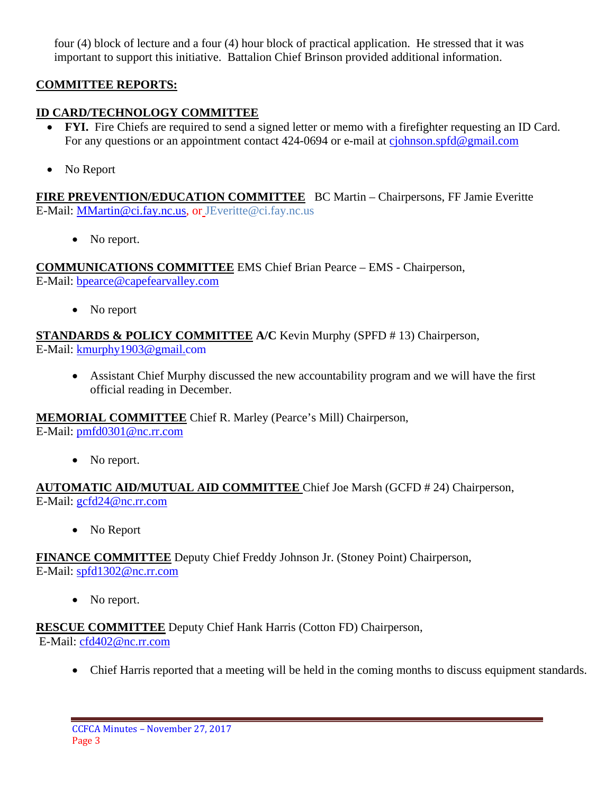four (4) block of lecture and a four (4) hour block of practical application. He stressed that it was important to support this initiative. Battalion Chief Brinson provided additional information.

## **COMMITTEE REPORTS:**

## **ID CARD/TECHNOLOGY COMMITTEE**

- **FYI.** Fire Chiefs are required to send a signed letter or memo with a firefighter requesting an ID Card. For any questions or an appointment contact 424-0694 or e-mail at [cjohnson.spfd@gmail.com](mailto:cjohnson.spfd@gmail.com)
- No Report

**FIRE PREVENTION/EDUCATION COMMITTEE** BC Martin – Chairpersons, FF Jamie Everitte E-Mail: [MMartin@ci.fay.nc.us,](mailto:MMartin@ci.fay.nc.us) or JEveritte@ci.fay.nc.us

• No report.

**COMMUNICATIONS COMMITTEE** EMS Chief Brian Pearce – EMS - Chairperson, E-Mail: [bpearce@capefearvalley.com](mailto:bpearce@capefearvalley.com)

• No report

**STANDARDS & POLICY COMMITTEE A/C** Kevin Murphy (SPFD # 13) Chairperson,

E-Mail: [kmurphy1903@gmail.com](mailto:kmurphy1903@gmail.com)

• Assistant Chief Murphy discussed the new accountability program and we will have the first official reading in December.

**MEMORIAL COMMITTEE** Chief R. Marley (Pearce's Mill) Chairperson,

E-Mail: [pmfd0301@nc.rr.com](mailto:pmfd0301@nc.rr.com)

• No report.

**AUTOMATIC AID/MUTUAL AID COMMITTEE** Chief Joe Marsh (GCFD # 24) Chairperson, E-Mail: [gcfd24@nc.rr.com](mailto:gcfd24@nc.rr.com)

• No Report

**FINANCE COMMITTEE** Deputy Chief Freddy Johnson Jr. (Stoney Point) Chairperson,

E-Mail: [spfd1302@nc.rr.com](mailto:spfd1302@nc.rr.com)

• No report.

**RESCUE COMMITTEE** Deputy Chief Hank Harris (Cotton FD) Chairperson, E-Mail: [cfd402@nc.rr.com](mailto:cfd402@nc.rr.com)

• Chief Harris reported that a meeting will be held in the coming months to discuss equipment standards.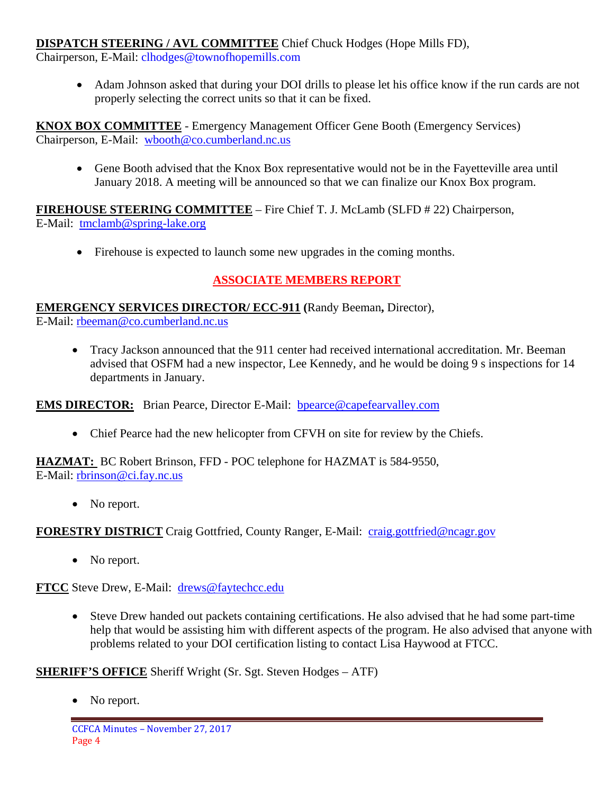### **DISPATCH STEERING / AVL COMMITTEE** Chief Chuck Hodges (Hope Mills FD),

Chairperson, E-Mail: clhodges@townofhopemills.com

• Adam Johnson asked that during your DOI drills to please let his office know if the run cards are not properly selecting the correct units so that it can be fixed.

**KNOX BOX COMMITTEE** - Emergency Management Officer Gene Booth (Emergency Services) Chairperson, E-Mail: [wbooth@co.cumberland.nc.us](mailto:wbooth@co.cumberland.nc.us)

• Gene Booth advised that the Knox Box representative would not be in the Fayetteville area until January 2018. A meeting will be announced so that we can finalize our Knox Box program.

**FIREHOUSE STEERING COMMITTEE** – Fire Chief T. J. McLamb (SLFD # 22) Chairperson, E-Mail: [tmclamb@spring-lake.org](mailto:tmclamb@spring-lake.org)

• Firehouse is expected to launch some new upgrades in the coming months.

## **ASSOCIATE MEMBERS REPORT**

#### **EMERGENCY SERVICES DIRECTOR/ ECC-911 (**Randy Beeman**,** Director),

E-Mail: [rbeeman@co.cumberland.nc.us](mailto:rbeeman@co.cumberland.nc.us)

• Tracy Jackson announced that the 911 center had received international accreditation. Mr. Beeman advised that OSFM had a new inspector, Lee Kennedy, and he would be doing 9 s inspections for 14 departments in January.

**EMS DIRECTOR:** Brian Pearce, Director E-Mail: bpearce@capefearvalley.com

• Chief Pearce had the new helicopter from CFVH on site for review by the Chiefs.

**HAZMAT:** BC Robert Brinson, FFD - POC telephone for HAZMAT is 584-9550, E-Mail: [rbrinson@ci.fay.nc.us](mailto:rbrinson@ci.fay.nc.us)

• No report.

**FORESTRY DISTRICT** Craig Gottfried, County Ranger, E-Mail: [craig.gottfried@ncagr.gov](mailto:craig.gottfried@ncagr.gov)

• No report.

**FTCC** Steve Drew, E-Mail: [drews@faytechcc.edu](mailto:drews@faytechcc.edu)

• Steve Drew handed out packets containing certifications. He also advised that he had some part-time help that would be assisting him with different aspects of the program. He also advised that anyone with problems related to your DOI certification listing to contact Lisa Haywood at FTCC.

**SHERIFF'S OFFICE** Sheriff Wright (Sr. Sgt. Steven Hodges – ATF)

• No report.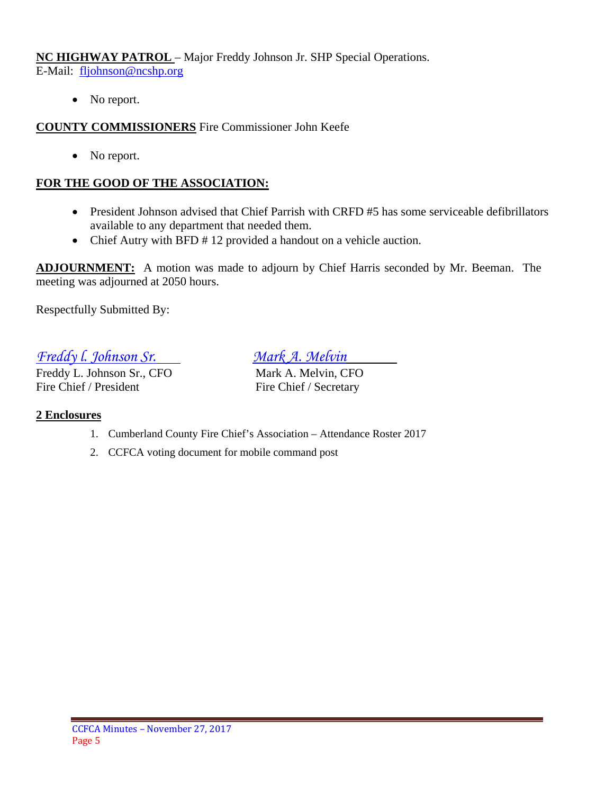**NC HIGHWAY PATROL** – Major Freddy Johnson Jr. SHP Special Operations.

E-Mail: [fljohnson@ncshp.org](mailto:fljohnson@ncshp.org)

• No report.

**COUNTY COMMISSIONERS** Fire Commissioner John Keefe

• No report.

## **FOR THE GOOD OF THE ASSOCIATION:**

- President Johnson advised that Chief Parrish with CRFD #5 has some serviceable defibrillators available to any department that needed them.
- Chief Autry with BFD # 12 provided a handout on a vehicle auction.

**ADJOURNMENT:** A motion was made to adjourn by Chief Harris seconded by Mr. Beeman. The meeting was adjourned at 2050 hours.

Respectfully Submitted By:

*Freddy l. Johnson Sr. Mark A. Melvin*

Freddy L. Johnson Sr., CFO Mark A. Melvin, CFO Fire Chief / President Fire Chief / Secretary

### **2 Enclosures**

- 1. Cumberland County Fire Chief's Association Attendance Roster 2017
- 2. CCFCA voting document for mobile command post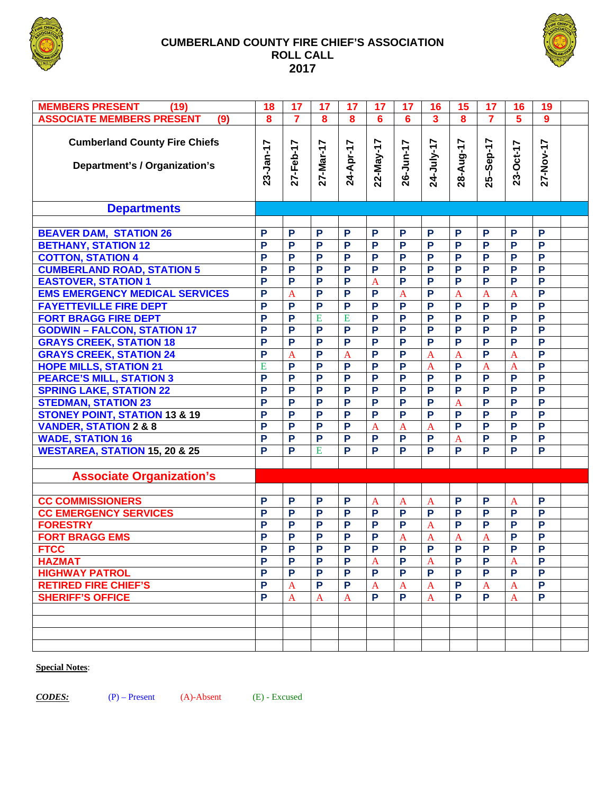

#### **CUMBERLAND COUNTY FIRE CHIEF'S ASSOCIATION ROLL CALL 2017**



| <b>MEMBERS PRESENT</b><br>(19)           | 18             | 17                      | 17             | 17             | 17                | 17                | 16                      | 15             | 17                      | 16                      | 19             |  |
|------------------------------------------|----------------|-------------------------|----------------|----------------|-------------------|-------------------|-------------------------|----------------|-------------------------|-------------------------|----------------|--|
| <b>ASSOCIATE MEMBERS PRESENT</b><br>(9)  |                | $\overline{\mathbf{7}}$ | 8              | 8              | $6\phantom{1}6$   | $6\phantom{a}$    | $\overline{\mathbf{3}}$ | 8              | $\overline{\mathbf{7}}$ | $\overline{\mathbf{5}}$ | $\overline{9}$ |  |
|                                          | 8              |                         |                |                |                   |                   |                         |                |                         |                         |                |  |
| <b>Cumberland County Fire Chiefs</b>     |                |                         |                |                |                   |                   |                         |                |                         |                         |                |  |
|                                          |                | 27-Feb-17               | 27-Mar-17      | 24-Apr-17      | 22-May-17         | 26-Jun-17         | 24-July-17              | 28-Aug-17      | 25-Sep-17               | 23-Oct-17               | 27-Nov-17      |  |
| Department's / Organization's            | 23-Jan-17      |                         |                |                |                   |                   |                         |                |                         |                         |                |  |
|                                          |                |                         |                |                |                   |                   |                         |                |                         |                         |                |  |
|                                          |                |                         |                |                |                   |                   |                         |                |                         |                         |                |  |
|                                          |                |                         |                |                |                   |                   |                         |                |                         |                         |                |  |
| <b>Departments</b>                       |                |                         |                |                |                   |                   |                         |                |                         |                         |                |  |
|                                          |                |                         |                |                |                   |                   |                         |                |                         |                         |                |  |
| <b>BEAVER DAM, STATION 26</b>            | P              | P                       | P              | P              | P                 | P                 | P                       | P              | P                       | P                       | P              |  |
| <b>BETHANY, STATION 12</b>               | P              | P                       | P              | P              | P                 | P                 | P                       | P              | P                       | P                       | P              |  |
| <b>COTTON, STATION 4</b>                 | P              | P                       | P              | P              | P                 | P                 | P                       | P              | P                       | P                       | P              |  |
| <b>CUMBERLAND ROAD, STATION 5</b>        | P              | P                       | P              | P              | P                 | P                 | P                       | P              | P                       | P                       | P              |  |
| <b>EASTOVER, STATION 1</b>               | P              | P                       | P              | P              | $\overline{A}$    | P                 | P                       | P              | P                       | P                       | P              |  |
| <b>EMS EMERGENCY MEDICAL SERVICES</b>    | P              | $\overline{A}$          | P              | P              | P                 | $\overline{A}$    | P                       | $\overline{A}$ | $\overline{A}$          | $\overline{A}$          | P              |  |
| <b>FAYETTEVILLE FIRE DEPT</b>            | $\overline{P}$ | $\overline{P}$          | $\overline{P}$ | P              | P                 | P                 | P                       | $\overline{P}$ | $\overline{P}$          | P                       | $\overline{P}$ |  |
| <b>FORT BRAGG FIRE DEPT</b>              | $\overline{P}$ | $\overline{P}$          | E              | $\overline{E}$ | P                 | P                 | P                       | $\overline{P}$ | $\overline{P}$          | $\overline{P}$          | $\overline{P}$ |  |
| <b>GODWIN - FALCON, STATION 17</b>       | P              | $\overline{P}$          | $\overline{P}$ | $\overline{P}$ | P                 | P                 | P                       | $\overline{P}$ | $\overline{P}$          | $\overline{P}$          | $\overline{P}$ |  |
| <b>GRAYS CREEK, STATION 18</b>           | P              | $\overline{P}$          | $\overline{P}$ | $\overline{P}$ | P                 | P                 | P                       | $\overline{P}$ | $\overline{P}$          | P                       | $\overline{P}$ |  |
| <b>GRAYS CREEK, STATION 24</b>           | $\overline{P}$ | $\overline{A}$          | P              | $\overline{A}$ | $\overline{P}$    | $\overline{P}$    | $\overline{A}$          | $\overline{A}$ | P                       | $\overline{A}$          | $\overline{P}$ |  |
| <b>HOPE MILLS, STATION 21</b>            | E              | P                       | $\overline{P}$ | P              | P                 | P                 | $\overline{A}$          | $\overline{P}$ | $\mathbf{A}$            | $\mathbf{A}$            | $\overline{P}$ |  |
| <b>PEARCE'S MILL, STATION 3</b>          | $\overline{P}$ | $\overline{P}$          | $\overline{P}$ | P              | P                 | P                 | P                       | P              | P                       | $\overline{P}$          | $\overline{P}$ |  |
| <b>SPRING LAKE, STATION 22</b>           | P              | $\overline{P}$          | $\overline{P}$ | P              | P                 | P                 | P                       | P              | P                       | $\overline{P}$          | $\overline{P}$ |  |
| <b>STEDMAN, STATION 23</b>               | $\overline{P}$ | $\overline{P}$          | $\overline{P}$ | P              | P                 | P                 | P                       | $\overline{A}$ | $\overline{P}$          | $\overline{P}$          | $\overline{P}$ |  |
| <b>STONEY POINT, STATION 13 &amp; 19</b> | P              | $\overline{P}$          | $\overline{P}$ | $\overline{P}$ | P                 | P                 | P                       | $\overline{P}$ | $\overline{P}$          | $\overline{P}$          | $\overline{P}$ |  |
| <b>VANDER, STATION 2 &amp; 8</b>         | P              | $\overline{P}$          | $\overline{P}$ | $\overline{P}$ | $\overline{A}$    | $\overline{A}$    | $\overline{A}$          | $\overline{P}$ | $\overline{P}$          | P                       | $\overline{P}$ |  |
| <b>WADE, STATION 16</b>                  | P              | P                       | $\overline{P}$ | $\overline{P}$ | $\overline{P}$    | P                 | P                       | $\mathbf{A}$   | P                       | P                       | $\overline{P}$ |  |
| <b>WESTAREA, STATION 15, 20 &amp; 25</b> | P              | P                       | E              | P              | P                 | P                 | P                       | P              | P                       | P                       | $\overline{P}$ |  |
|                                          |                |                         |                |                |                   |                   |                         |                |                         |                         |                |  |
| <b>Associate Organization's</b>          |                |                         |                |                |                   |                   |                         |                |                         |                         |                |  |
|                                          |                |                         |                |                |                   |                   |                         |                |                         |                         |                |  |
| <b>CC COMMISSIONERS</b>                  | P              | P                       | P              | P              |                   |                   |                         | P              | P                       |                         | P              |  |
| <b>CC EMERGENCY SERVICES</b>             | P              | P                       | P              | P              | $\mathbf{A}$<br>P | $\mathbf{A}$<br>P | $\mathbf{A}$<br>P       | P              | P                       | $\mathbf{A}$<br>P       | P              |  |
| <b>FORESTRY</b>                          | P              | P                       | P              | P              | P                 | P                 | $\overline{A}$          | P              | P                       | P                       | $\overline{P}$ |  |
|                                          | P              | P                       | P              | $\overline{P}$ | P                 |                   |                         |                |                         | P                       | $\overline{P}$ |  |
| <b>FORT BRAGG EMS</b>                    |                |                         |                |                |                   | $\mathbf{A}$      | $\overline{A}$          | $\mathbf{A}$   | $\mathbf{A}$            |                         |                |  |
| <b>FTCC</b>                              | Р              | Р                       |                | Р              |                   | P                 | Р                       | Р              |                         |                         |                |  |
| <b>HAZMAT</b>                            | P              | P                       | P              | P              | A                 | P                 | $\overline{A}$          | P              | P                       | $\mathbf{A}$            | P              |  |
| <b>HIGHWAY PATROL</b>                    | P              | P                       | P              | P              | P                 | P                 | P                       | P              | P                       | P                       | P              |  |
| <b>RETIRED FIRE CHIEF'S</b>              | P              | $\mathbf{A}$            | P              | $\mathsf{P}$   | A                 | A                 | $\mathbf{A}$            | P              | A                       | $\mathbf{A}$            | P              |  |
| <b>SHERIFF'S OFFICE</b>                  | P              | $\mathbf{A}$            | $\mathbf{A}$   | $\mathbf{A}$   | P                 | P                 | A                       | P              | P                       | $\mathbf{A}$            | P              |  |
|                                          |                |                         |                |                |                   |                   |                         |                |                         |                         |                |  |
|                                          |                |                         |                |                |                   |                   |                         |                |                         |                         |                |  |
|                                          |                |                         |                |                |                   |                   |                         |                |                         |                         |                |  |
|                                          |                |                         |                |                |                   |                   |                         |                |                         |                         |                |  |

#### **Special Notes**:

*CODES:* (P) – Present (A)-Absent (E) - Excused